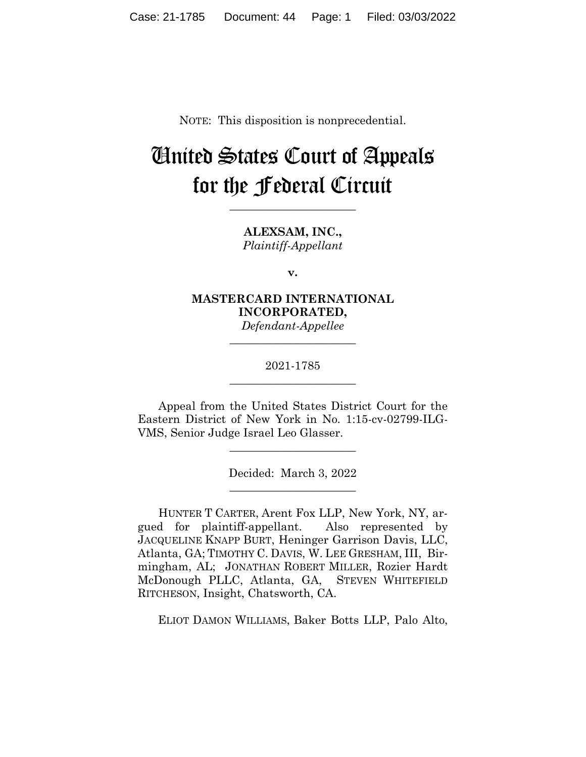NOTE: This disposition is nonprecedential.

# United States Court of Appeals for the Federal Circuit

**\_\_\_\_\_\_\_\_\_\_\_\_\_\_\_\_\_\_\_\_\_\_** 

**ALEXSAM, INC.,** *Plaintiff-Appellant*

**v.**

**MASTERCARD INTERNATIONAL INCORPORATED,**

*Defendant-Appellee* **\_\_\_\_\_\_\_\_\_\_\_\_\_\_\_\_\_\_\_\_\_\_** 

2021-1785 **\_\_\_\_\_\_\_\_\_\_\_\_\_\_\_\_\_\_\_\_\_\_** 

Appeal from the United States District Court for the Eastern District of New York in No. 1:15-cv-02799-ILG-VMS, Senior Judge Israel Leo Glasser.

 $\overline{\phantom{a}}$  , we can assume that the contract of  $\overline{\phantom{a}}$ 

Decided: March 3, 2022  $\overline{\phantom{a}}$  , we can assume that the contract of  $\overline{\phantom{a}}$ 

HUNTER T CARTER, Arent Fox LLP, New York, NY, argued for plaintiff-appellant. Also represented by JACQUELINE KNAPP BURT, Heninger Garrison Davis, LLC, Atlanta, GA; TIMOTHY C. DAVIS, W. LEE GRESHAM, III, Birmingham, AL; JONATHAN ROBERT MILLER, Rozier Hardt McDonough PLLC, Atlanta, GA, STEVEN WHITEFIELD RITCHESON, Insight, Chatsworth, CA.

ELIOT DAMON WILLIAMS, Baker Botts LLP, Palo Alto,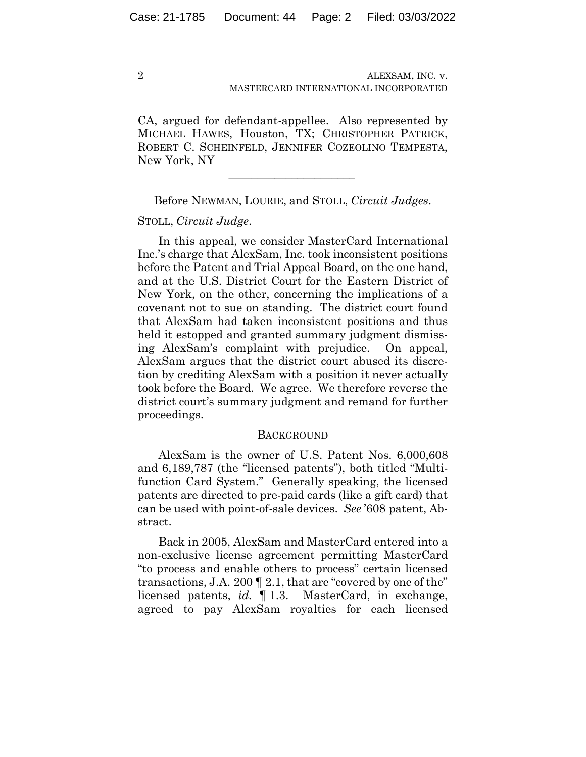CA, argued for defendant-appellee. Also represented by MICHAEL HAWES, Houston, TX; CHRISTOPHER PATRICK, ROBERT C. SCHEINFELD, JENNIFER COZEOLINO TEMPESTA, New York, NY

Before NEWMAN, LOURIE, and STOLL, *Circuit Judges*.

 $\mathcal{L}_\text{max}$  and  $\mathcal{L}_\text{max}$  and  $\mathcal{L}_\text{max}$  and  $\mathcal{L}_\text{max}$ 

## STOLL, *Circuit Judge*.

In this appeal, we consider MasterCard International Inc.'s charge that AlexSam, Inc. took inconsistent positions before the Patent and Trial Appeal Board, on the one hand, and at the U.S. District Court for the Eastern District of New York, on the other, concerning the implications of a covenant not to sue on standing. The district court found that AlexSam had taken inconsistent positions and thus held it estopped and granted summary judgment dismissing AlexSam's complaint with prejudice. On appeal, AlexSam argues that the district court abused its discretion by crediting AlexSam with a position it never actually took before the Board. We agree. We therefore reverse the district court's summary judgment and remand for further proceedings.

#### **BACKGROUND**

AlexSam is the owner of U.S. Patent Nos. 6,000,608 and 6,189,787 (the "licensed patents"), both titled "Multifunction Card System." Generally speaking, the licensed patents are directed to pre-paid cards (like a gift card) that can be used with point-of-sale devices. *See* '608 patent, Abstract.

Back in 2005, AlexSam and MasterCard entered into a non-exclusive license agreement permitting MasterCard "to process and enable others to process" certain licensed transactions, J.A. 200 ¶ 2.1, that are "covered by one of the" licensed patents, *id.* ¶ 1.3. MasterCard, in exchange, agreed to pay AlexSam royalties for each licensed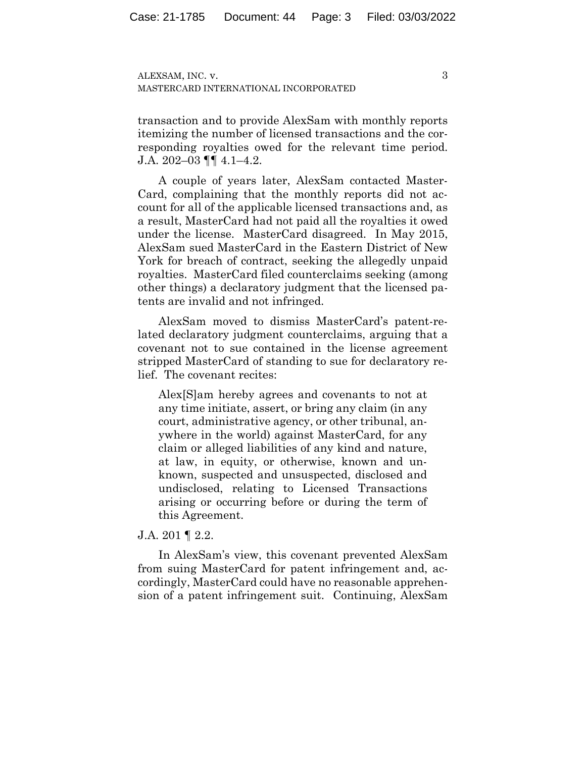3

transaction and to provide AlexSam with monthly reports itemizing the number of licensed transactions and the corresponding royalties owed for the relevant time period. J.A. 202–03 ¶¶ 4.1–4.2.

A couple of years later, AlexSam contacted Master-Card, complaining that the monthly reports did not account for all of the applicable licensed transactions and, as a result, MasterCard had not paid all the royalties it owed under the license. MasterCard disagreed. In May 2015, AlexSam sued MasterCard in the Eastern District of New York for breach of contract, seeking the allegedly unpaid royalties. MasterCard filed counterclaims seeking (among other things) a declaratory judgment that the licensed patents are invalid and not infringed.

AlexSam moved to dismiss MasterCard's patent-related declaratory judgment counterclaims, arguing that a covenant not to sue contained in the license agreement stripped MasterCard of standing to sue for declaratory relief. The covenant recites:

Alex[S]am hereby agrees and covenants to not at any time initiate, assert, or bring any claim (in any court, administrative agency, or other tribunal, anywhere in the world) against MasterCard, for any claim or alleged liabilities of any kind and nature, at law, in equity, or otherwise, known and unknown, suspected and unsuspected, disclosed and undisclosed, relating to Licensed Transactions arising or occurring before or during the term of this Agreement.

# J.A. 201 ¶ 2.2.

In AlexSam's view, this covenant prevented AlexSam from suing MasterCard for patent infringement and, accordingly, MasterCard could have no reasonable apprehension of a patent infringement suit. Continuing, AlexSam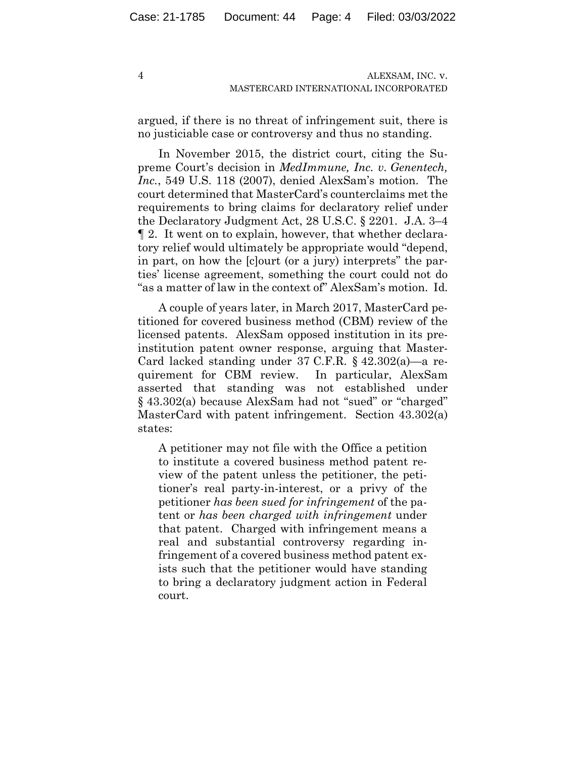argued, if there is no threat of infringement suit, there is no justiciable case or controversy and thus no standing.

In November 2015, the district court, citing the Supreme Court's decision in *MedImmune, Inc. v. Genentech, Inc.*, 549 U.S. 118 (2007), denied AlexSam's motion. The court determined that MasterCard's counterclaims met the requirements to bring claims for declaratory relief under the Declaratory Judgment Act, 28 U.S.C. § 2201. J.A. 3–4 ¶ 2. It went on to explain, however, that whether declaratory relief would ultimately be appropriate would "depend, in part, on how the [c]ourt (or a jury) interprets" the parties' license agreement, something the court could not do "as a matter of law in the context of" AlexSam's motion. Id.

A couple of years later, in March 2017, MasterCard petitioned for covered business method (CBM) review of the licensed patents. AlexSam opposed institution in its preinstitution patent owner response, arguing that Master-Card lacked standing under 37 C.F.R. § 42.302(a)—a requirement for CBM review. In particular, AlexSam asserted that standing was not established under § 43.302(a) because AlexSam had not "sued" or "charged" MasterCard with patent infringement. Section 43.302(a) states:

A petitioner may not file with the Office a petition to institute a covered business method patent review of the patent unless the petitioner, the petitioner's real party-in-interest, or a privy of the petitioner *has been sued for infringement* of the patent or *has been charged with infringement* under that patent. Charged with infringement means a real and substantial controversy regarding infringement of a covered business method patent exists such that the petitioner would have standing to bring a declaratory judgment action in Federal court.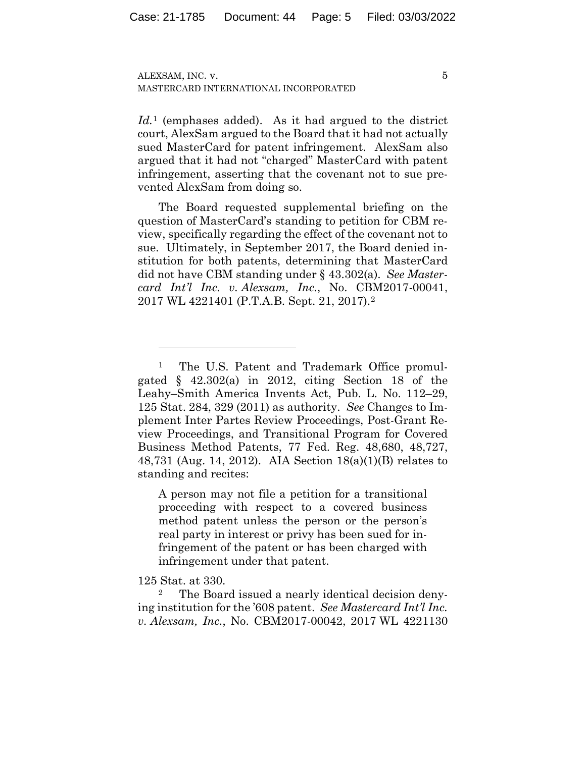5

*Id.*<sup>1</sup> (emphases added). As it had argued to the district court, AlexSam argued to the Board that it had not actually sued MasterCard for patent infringement. AlexSam also argued that it had not "charged" MasterCard with patent infringement, asserting that the covenant not to sue prevented AlexSam from doing so.

The Board requested supplemental briefing on the question of MasterCard's standing to petition for CBM review, specifically regarding the effect of the covenant not to sue. Ultimately, in September 2017, the Board denied institution for both patents, determining that MasterCard did not have CBM standing under § 43.302(a). *See Mastercard Int'l Inc. v. Alexsam, Inc.*, No. CBM2017-00041, 2017 WL 4221401 (P.T.A.B. Sept. 21, 2017).2

A person may not file a petition for a transitional proceeding with respect to a covered business method patent unless the person or the person's real party in interest or privy has been sued for infringement of the patent or has been charged with infringement under that patent.

125 Stat. at 330.

The Board issued a nearly identical decision denying institution for the '608 patent. *See Mastercard Int'l Inc. v. Alexsam, Inc.*, No. CBM2017-00042, 2017 WL 4221130

<sup>1</sup> The U.S. Patent and Trademark Office promulgated  $\frac{1}{2}$  42.302(a) in 2012, citing Section 18 of the Leahy–Smith America Invents Act, Pub. L. No. 112–29, 125 Stat. 284, 329 (2011) as authority. *See* Changes to Implement Inter Partes Review Proceedings, Post-Grant Review Proceedings, and Transitional Program for Covered Business Method Patents, 77 Fed. Reg. 48,680, 48,727, 48,731 (Aug. 14, 2012). AIA Section 18(a)(1)(B) relates to standing and recites: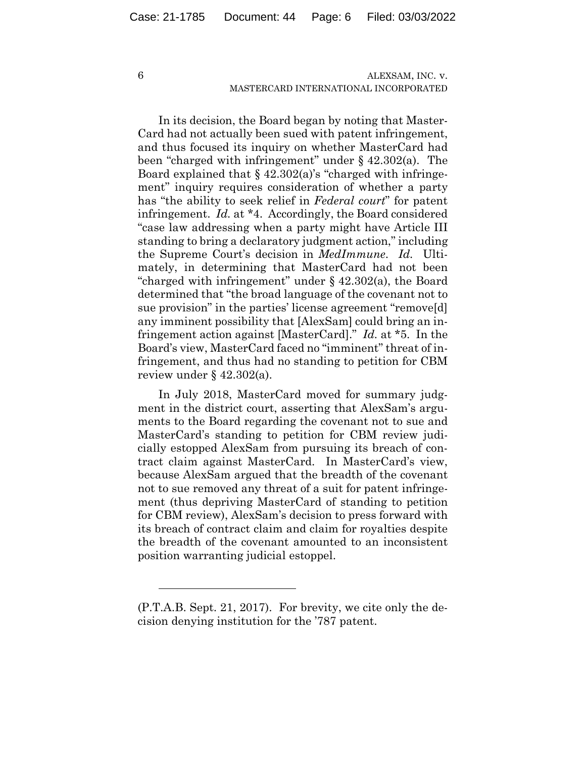6

# ALEXSAM, INC. v. MASTERCARD INTERNATIONAL INCORPORATED

In its decision, the Board began by noting that Master-Card had not actually been sued with patent infringement, and thus focused its inquiry on whether MasterCard had been "charged with infringement" under § 42.302(a). The Board explained that  $\S$  42.302(a)'s "charged with infringement" inquiry requires consideration of whether a party has "the ability to seek relief in *Federal court*" for patent infringement. *Id.* at \*4. Accordingly, the Board considered "case law addressing when a party might have Article III standing to bring a declaratory judgment action," including the Supreme Court's decision in *MedImmune*. *Id.* Ultimately, in determining that MasterCard had not been "charged with infringement" under  $\S$  42.302(a), the Board determined that "the broad language of the covenant not to sue provision" in the parties' license agreement "remove[d] any imminent possibility that [AlexSam] could bring an infringement action against [MasterCard]." *Id.* at \*5. In the Board's view, MasterCard faced no "imminent" threat of infringement, and thus had no standing to petition for CBM review under  $\S$  42.302(a).

In July 2018, MasterCard moved for summary judgment in the district court, asserting that AlexSam's arguments to the Board regarding the covenant not to sue and MasterCard's standing to petition for CBM review judicially estopped AlexSam from pursuing its breach of contract claim against MasterCard. In MasterCard's view, because AlexSam argued that the breadth of the covenant not to sue removed any threat of a suit for patent infringement (thus depriving MasterCard of standing to petition for CBM review), AlexSam's decision to press forward with its breach of contract claim and claim for royalties despite the breadth of the covenant amounted to an inconsistent position warranting judicial estoppel.

<sup>(</sup>P.T.A.B. Sept. 21, 2017). For brevity, we cite only the decision denying institution for the '787 patent.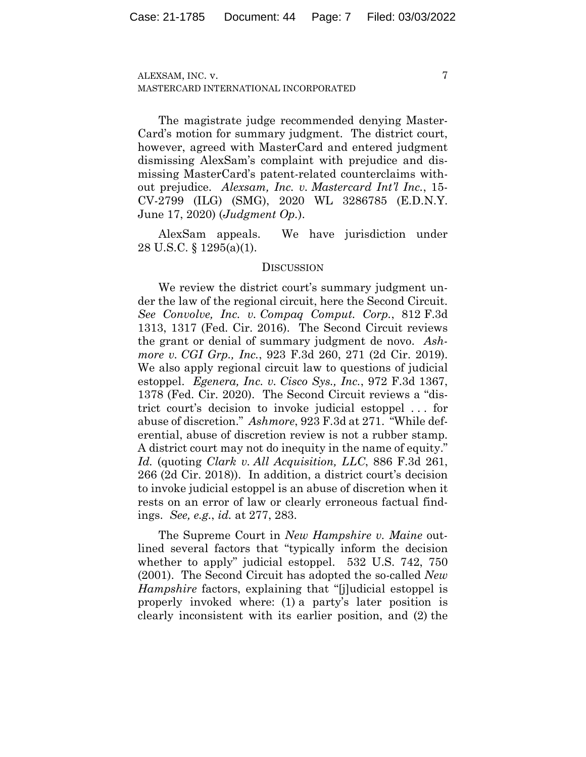7

The magistrate judge recommended denying Master-Card's motion for summary judgment. The district court, however, agreed with MasterCard and entered judgment dismissing AlexSam's complaint with prejudice and dismissing MasterCard's patent-related counterclaims without prejudice. *Alexsam, Inc. v. Mastercard Int'l Inc.*, 15- CV-2799 (ILG) (SMG), 2020 WL 3286785 (E.D.N.Y. June 17, 2020) (*Judgment Op.*).

AlexSam appeals. We have jurisdiction under 28 U.S.C. § 1295(a)(1).

## **DISCUSSION**

We review the district court's summary judgment under the law of the regional circuit, here the Second Circuit. *See Convolve, Inc. v. Compaq Comput. Corp.*, 812 F.3d 1313, 1317 (Fed. Cir. 2016). The Second Circuit reviews the grant or denial of summary judgment de novo. *Ashmore v. CGI Grp., Inc.*, 923 F.3d 260, 271 (2d Cir. 2019). We also apply regional circuit law to questions of judicial estoppel. *Egenera, Inc. v. Cisco Sys., Inc.*, 972 F.3d 1367, 1378 (Fed. Cir. 2020). The Second Circuit reviews a "district court's decision to invoke judicial estoppel . . . for abuse of discretion." *Ashmore*, 923 F.3d at 271. "While deferential, abuse of discretion review is not a rubber stamp. A district court may not do inequity in the name of equity." *Id.* (quoting *Clark v. All Acquisition, LLC*, 886 F.3d 261, 266 (2d Cir. 2018)). In addition, a district court's decision to invoke judicial estoppel is an abuse of discretion when it rests on an error of law or clearly erroneous factual findings. *See, e.g.*, *id.* at 277, 283.

The Supreme Court in *New Hampshire v. Maine* outlined several factors that "typically inform the decision whether to apply" judicial estoppel. 532 U.S. 742, 750 (2001). The Second Circuit has adopted the so-called *New Hampshire* factors, explaining that "[j]udicial estoppel is properly invoked where: (1) a party's later position is clearly inconsistent with its earlier position, and (2) the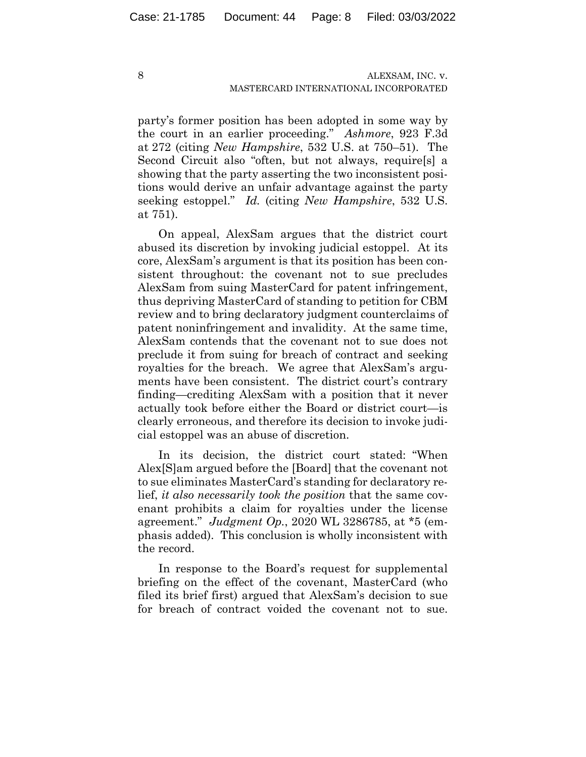party's former position has been adopted in some way by the court in an earlier proceeding." *Ashmore*, 923 F.3d at 272 (citing *New Hampshire*, 532 U.S. at 750–51). The Second Circuit also "often, but not always, require[s] a showing that the party asserting the two inconsistent positions would derive an unfair advantage against the party seeking estoppel." *Id.* (citing *New Hampshire*, 532 U.S. at 751).

On appeal, AlexSam argues that the district court abused its discretion by invoking judicial estoppel. At its core, AlexSam's argument is that its position has been consistent throughout: the covenant not to sue precludes AlexSam from suing MasterCard for patent infringement, thus depriving MasterCard of standing to petition for CBM review and to bring declaratory judgment counterclaims of patent noninfringement and invalidity. At the same time, AlexSam contends that the covenant not to sue does not preclude it from suing for breach of contract and seeking royalties for the breach. We agree that AlexSam's arguments have been consistent. The district court's contrary finding—crediting AlexSam with a position that it never actually took before either the Board or district court—is clearly erroneous, and therefore its decision to invoke judicial estoppel was an abuse of discretion.

In its decision, the district court stated: "When Alex[S]am argued before the [Board] that the covenant not to sue eliminates MasterCard's standing for declaratory relief, *it also necessarily took the position* that the same covenant prohibits a claim for royalties under the license agreement." *Judgment Op.*, 2020 WL 3286785, at \*5 (emphasis added). This conclusion is wholly inconsistent with the record.

In response to the Board's request for supplemental briefing on the effect of the covenant, MasterCard (who filed its brief first) argued that AlexSam's decision to sue for breach of contract voided the covenant not to sue.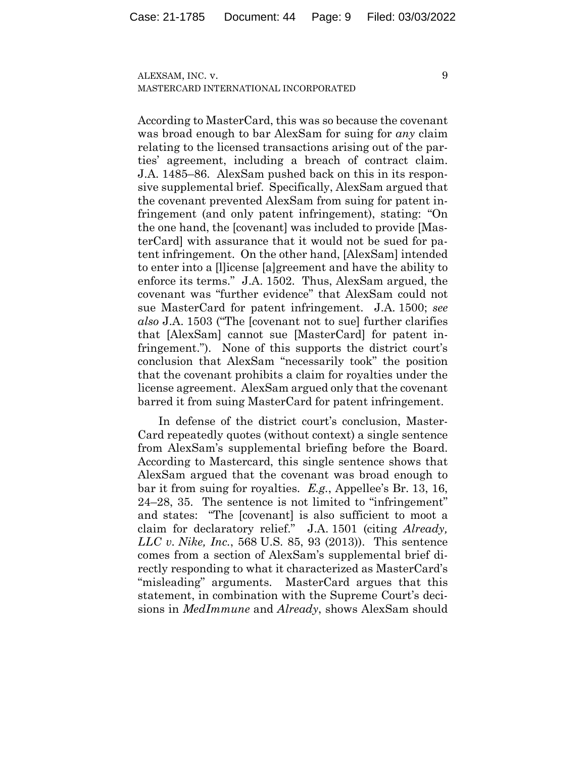According to MasterCard, this was so because the covenant was broad enough to bar AlexSam for suing for *any* claim relating to the licensed transactions arising out of the parties' agreement, including a breach of contract claim. J.A. 1485–86. AlexSam pushed back on this in its responsive supplemental brief. Specifically, AlexSam argued that the covenant prevented AlexSam from suing for patent infringement (and only patent infringement), stating: "On the one hand, the [covenant] was included to provide [MasterCard] with assurance that it would not be sued for patent infringement. On the other hand, [AlexSam] intended to enter into a [l]icense [a]greement and have the ability to enforce its terms." J.A. 1502. Thus, AlexSam argued, the covenant was "further evidence" that AlexSam could not sue MasterCard for patent infringement. J.A. 1500; *see also* J.A. 1503 ("The [covenant not to sue] further clarifies that [AlexSam] cannot sue [MasterCard] for patent infringement."). None of this supports the district court's conclusion that AlexSam "necessarily took" the position that the covenant prohibits a claim for royalties under the license agreement. AlexSam argued only that the covenant barred it from suing MasterCard for patent infringement.

In defense of the district court's conclusion, Master-Card repeatedly quotes (without context) a single sentence from AlexSam's supplemental briefing before the Board. According to Mastercard, this single sentence shows that AlexSam argued that the covenant was broad enough to bar it from suing for royalties. *E.g.*, Appellee's Br. 13, 16, 24–28, 35. The sentence is not limited to "infringement" and states: "The [covenant] is also sufficient to moot a claim for declaratory relief." J.A. 1501 (citing *Already, LLC v. Nike, Inc.*, 568 U.S. 85, 93 (2013)). This sentence comes from a section of AlexSam's supplemental brief directly responding to what it characterized as MasterCard's "misleading" arguments. MasterCard argues that this statement, in combination with the Supreme Court's decisions in *MedImmune* and *Already*, shows AlexSam should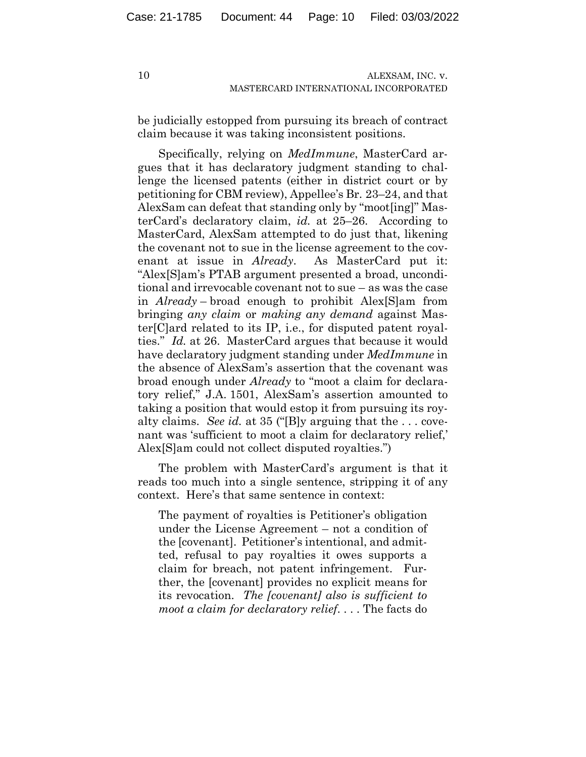be judicially estopped from pursuing its breach of contract claim because it was taking inconsistent positions.

Specifically, relying on *MedImmune*, MasterCard argues that it has declaratory judgment standing to challenge the licensed patents (either in district court or by petitioning for CBM review), Appellee's Br. 23–24, and that AlexSam can defeat that standing only by "moot[ing]" MasterCard's declaratory claim, *id.* at 25–26. According to MasterCard, AlexSam attempted to do just that, likening the covenant not to sue in the license agreement to the covenant at issue in *Already*. As MasterCard put it: "Alex[S]am's PTAB argument presented a broad, unconditional and irrevocable covenant not to sue – as was the case in *Already* – broad enough to prohibit Alex[S]am from bringing *any claim* or *making any demand* against Master[C]ard related to its IP, i.e., for disputed patent royalties." *Id.* at 26. MasterCard argues that because it would have declaratory judgment standing under *MedImmune* in the absence of AlexSam's assertion that the covenant was broad enough under *Already* to "moot a claim for declaratory relief," J.A. 1501, AlexSam's assertion amounted to taking a position that would estop it from pursuing its royalty claims. *See id.* at 35 ("[B]y arguing that the . . . covenant was 'sufficient to moot a claim for declaratory relief,' Alex[S]am could not collect disputed royalties.")

The problem with MasterCard's argument is that it reads too much into a single sentence, stripping it of any context. Here's that same sentence in context:

The payment of royalties is Petitioner's obligation under the License Agreement – not a condition of the [covenant]. Petitioner's intentional, and admitted, refusal to pay royalties it owes supports a claim for breach, not patent infringement. Further, the [covenant] provides no explicit means for its revocation. *The [covenant] also is sufficient to moot a claim for declaratory relief*. . . . The facts do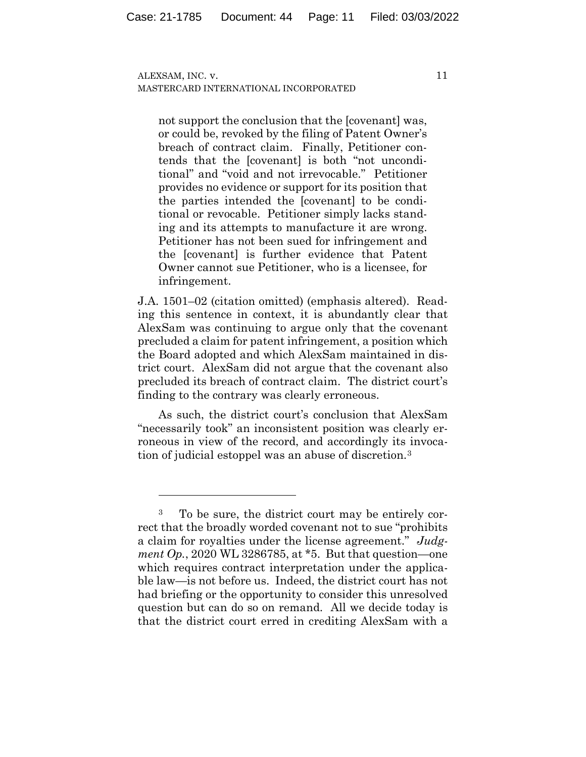not support the conclusion that the [covenant] was, or could be, revoked by the filing of Patent Owner's breach of contract claim. Finally, Petitioner contends that the [covenant] is both "not unconditional" and "void and not irrevocable." Petitioner provides no evidence or support for its position that the parties intended the [covenant] to be conditional or revocable. Petitioner simply lacks standing and its attempts to manufacture it are wrong. Petitioner has not been sued for infringement and the [covenant] is further evidence that Patent Owner cannot sue Petitioner, who is a licensee, for infringement.

J.A. 1501–02 (citation omitted) (emphasis altered). Reading this sentence in context, it is abundantly clear that AlexSam was continuing to argue only that the covenant precluded a claim for patent infringement, a position which the Board adopted and which AlexSam maintained in district court. AlexSam did not argue that the covenant also precluded its breach of contract claim. The district court's finding to the contrary was clearly erroneous.

As such, the district court's conclusion that AlexSam "necessarily took" an inconsistent position was clearly erroneous in view of the record, and accordingly its invocation of judicial estoppel was an abuse of discretion.3

<sup>3</sup> To be sure, the district court may be entirely correct that the broadly worded covenant not to sue "prohibits a claim for royalties under the license agreement." *Judgment Op.*, 2020 WL 3286785, at \*5. But that question—one which requires contract interpretation under the applicable law—is not before us. Indeed, the district court has not had briefing or the opportunity to consider this unresolved question but can do so on remand. All we decide today is that the district court erred in crediting AlexSam with a